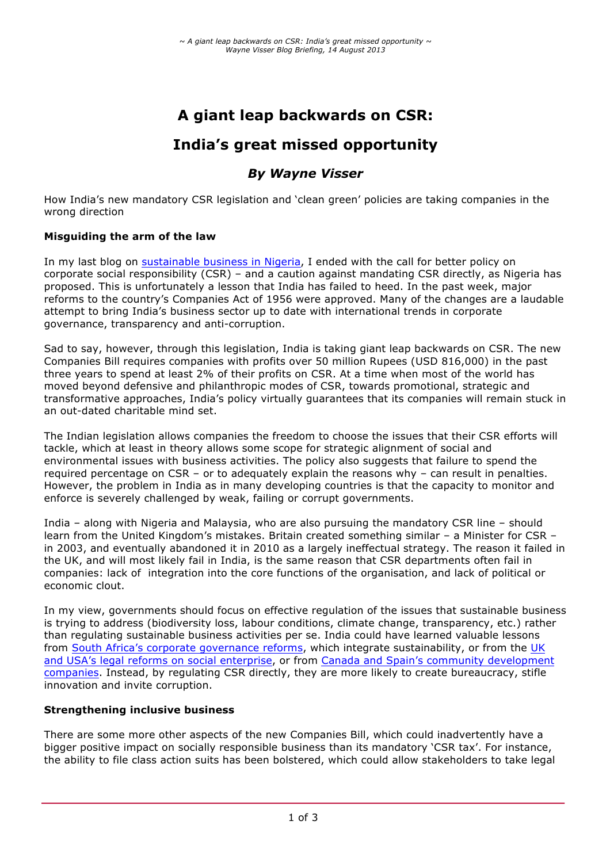# **A giant leap backwards on CSR:**

## **India's great missed opportunity**

### *By Wayne Visser*

How India's new mandatory CSR legislation and 'clean green' policies are taking companies in the wrong direction

#### **Misguiding the arm of the law**

In my last blog on sustainable business in Nigeria, I ended with the call for better policy on corporate social responsibility (CSR) – and a caution against mandating CSR directly, as Nigeria has proposed. This is unfortunately a lesson that India has failed to heed. In the past week, major reforms to the country's Companies Act of 1956 were approved. Many of the changes are a laudable attempt to bring India's business sector up to date with international trends in corporate governance, transparency and anti-corruption.

Sad to say, however, through this legislation, India is taking giant leap backwards on CSR. The new Companies Bill requires companies with profits over 50 million Rupees (USD 816,000) in the past three years to spend at least 2% of their profits on CSR. At a time when most of the world has moved beyond defensive and philanthropic modes of CSR, towards promotional, strategic and transformative approaches, India's policy virtually guarantees that its companies will remain stuck in an out-dated charitable mind set.

The Indian legislation allows companies the freedom to choose the issues that their CSR efforts will tackle, which at least in theory allows some scope for strategic alignment of social and environmental issues with business activities. The policy also suggests that failure to spend the required percentage on CSR – or to adequately explain the reasons why – can result in penalties. However, the problem in India as in many developing countries is that the capacity to monitor and enforce is severely challenged by weak, failing or corrupt governments.

India – along with Nigeria and Malaysia, who are also pursuing the mandatory CSR line – should learn from the United Kingdom's mistakes. Britain created something similar – a Minister for CSR – in 2003, and eventually abandoned it in 2010 as a largely ineffectual strategy. The reason it failed in the UK, and will most likely fail in India, is the same reason that CSR departments often fail in companies: lack of integration into the core functions of the organisation, and lack of political or economic clout.

In my view, governments should focus on effective regulation of the issues that sustainable business is trying to address (biodiversity loss, labour conditions, climate change, transparency, etc.) rather than regulating sustainable business activities per se. India could have learned valuable lessons from South Africa's corporate governance reforms, which integrate sustainability, or from the UK and USA's legal reforms on social enterprise, or from Canada and Spain's community development companies. Instead, by regulating CSR directly, they are more likely to create bureaucracy, stifle innovation and invite corruption.

#### **Strengthening inclusive business**

There are some more other aspects of the new Companies Bill, which could inadvertently have a bigger positive impact on socially responsible business than its mandatory 'CSR tax'. For instance, the ability to file class action suits has been bolstered, which could allow stakeholders to take legal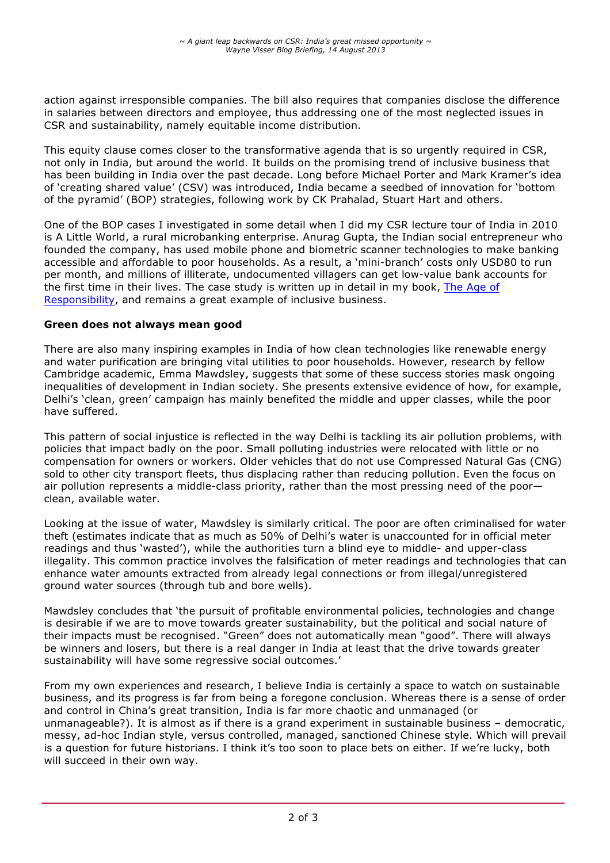action against irresponsible companies. The bill also requires that companies disclose the difference in salaries between directors and employee, thus addressing one of the most neglected issues in CSR and sustainability, namely equitable income distribution.

This equity clause comes closer to the transformative agenda that is so urgently required in CSR, not only in India, but around the world. It builds on the promising trend of inclusive business that has been building in India over the past decade. Long before Michael Porter and Mark Kramer's idea of 'creating shared value' (CSV) was introduced, India became a seedbed of innovation for 'bottom of the pyramid' (BOP) strategies, following work by CK Prahalad, Stuart Hart and others.

One of the BOP cases I investigated in some detail when I did my CSR lecture tour of India in 2010 is A Little World, a rural microbanking enterprise. Anurag Gupta, the Indian social entrepreneur who founded the company, has used mobile phone and biometric scanner technologies to make banking accessible and affordable to poor households. As a result, a 'mini-branch' costs only USD80 to run per month, and millions of illiterate, undocumented villagers can get low-value bank accounts for the first time in their lives. The case study is written up in detail in my book, The Age of Responsibility, and remains a great example of inclusive business.

#### **Green does not always mean good**

There are also many inspiring examples in India of how clean technologies like renewable energy and water purification are bringing vital utilities to poor households. However, research by fellow Cambridge academic, Emma Mawdsley, suggests that some of these success stories mask ongoing inequalities of development in Indian society. She presents extensive evidence of how, for example, Delhi's 'clean, green' campaign has mainly benefited the middle and upper classes, while the poor have suffered.

This pattern of social injustice is reflected in the way Delhi is tackling its air pollution problems, with policies that impact badly on the poor. Small polluting industries were relocated with little or no compensation for owners or workers. Older vehicles that do not use Compressed Natural Gas (CNG) sold to other city transport fleets, thus displacing rather than reducing pollution. Even the focus on air pollution represents a middle-class priority, rather than the most pressing need of the poor clean, available water.

Looking at the issue of water, Mawdsley is similarly critical. The poor are often criminalised for water theft (estimates indicate that as much as 50% of Delhi's water is unaccounted for in official meter readings and thus 'wasted'), while the authorities turn a blind eye to middle- and upper-class illegality. This common practice involves the falsification of meter readings and technologies that can enhance water amounts extracted from already legal connections or from illegal/unregistered ground water sources (through tub and bore wells).

Mawdsley concludes that 'the pursuit of profitable environmental policies, technologies and change is desirable if we are to move towards greater sustainability, but the political and social nature of their impacts must be recognised. "Green" does not automatically mean "good". There will always be winners and losers, but there is a real danger in India at least that the drive towards greater sustainability will have some regressive social outcomes.'

From my own experiences and research, I believe India is certainly a space to watch on sustainable business, and its progress is far from being a foregone conclusion. Whereas there is a sense of order and control in China's great transition, India is far more chaotic and unmanaged (or unmanageable?). It is almost as if there is a grand experiment in sustainable business – democratic, messy, ad-hoc Indian style, versus controlled, managed, sanctioned Chinese style. Which will prevail is a question for future historians. I think it's too soon to place bets on either. If we're lucky, both will succeed in their own way.